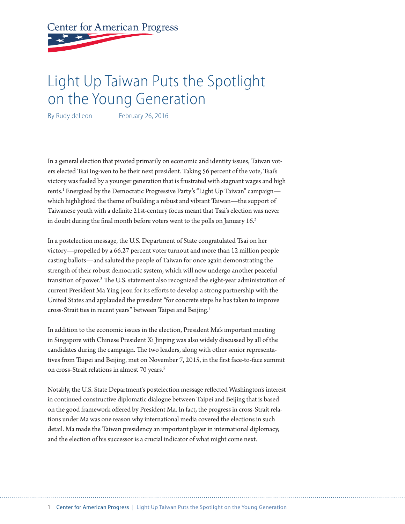**Center for American Progress** 

# Light Up Taiwan Puts the Spotlight on the Young Generation

By Rudy deLeon February 26, 2016

In a general election that pivoted primarily on economic and identity issues, Taiwan voters elected Tsai Ing-wen to be their next president. Taking 56 percent of the vote, Tsai's victory was fueled by a younger generation that is frustrated with stagnant wages and high rents.<sup>1</sup> Energized by the Democratic Progressive Party's "Light Up Taiwan" campaign which highlighted the theme of building a robust and vibrant Taiwan—the support of Taiwanese youth with a definite 21st-century focus meant that Tsai's election was never in doubt during the final month before voters went to the polls on January 16.<sup>2</sup>

In a postelection message, the U.S. Department of State congratulated Tsai on her victory—propelled by a 66.27 percent voter turnout and more than 12 million people casting ballots—and saluted the people of Taiwan for once again demonstrating the strength of their robust democratic system, which will now undergo another peaceful transition of power.<sup>3</sup> The U.S. statement also recognized the eight-year administration of current President Ma Ying-jeou for its efforts to develop a strong partnership with the United States and applauded the president "for concrete steps he has taken to improve cross-Strait ties in recent years" between Taipei and Beijing.4

In addition to the economic issues in the election, President Ma's important meeting in Singapore with Chinese President Xi Jinping was also widely discussed by all of the candidates during the campaign. The two leaders, along with other senior representatives from Taipei and Beijing, met on November 7, 2015, in the first face-to-face summit on cross-Strait relations in almost 70 years.<sup>5</sup>

Notably, the U.S. State Department's postelection message reflected Washington's interest in continued constructive diplomatic dialogue between Taipei and Beijing that is based on the good framework offered by President Ma. In fact, the progress in cross-Strait relations under Ma was one reason why international media covered the elections in such detail. Ma made the Taiwan presidency an important player in international diplomacy, and the election of his successor is a crucial indicator of what might come next.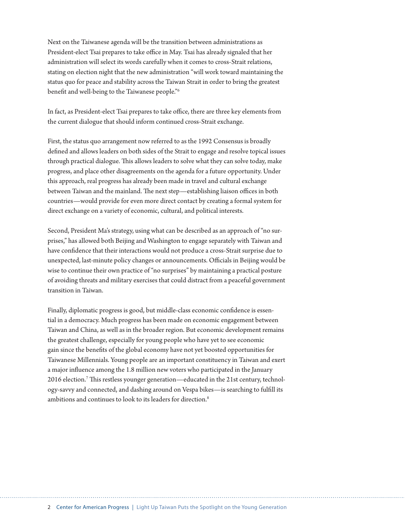Next on the Taiwanese agenda will be the transition between administrations as President-elect Tsai prepares to take office in May. Tsai has already signaled that her administration will select its words carefully when it comes to cross-Strait relations, stating on election night that the new administration "will work toward maintaining the status quo for peace and stability across the Taiwan Strait in order to bring the greatest benefit and well-being to the Taiwanese people."6

In fact, as President-elect Tsai prepares to take office, there are three key elements from the current dialogue that should inform continued cross-Strait exchange.

First, the status quo arrangement now referred to as the 1992 Consensus is broadly defined and allows leaders on both sides of the Strait to engage and resolve topical issues through practical dialogue. This allows leaders to solve what they can solve today, make progress, and place other disagreements on the agenda for a future opportunity. Under this approach, real progress has already been made in travel and cultural exchange between Taiwan and the mainland. The next step—establishing liaison offices in both countries—would provide for even more direct contact by creating a formal system for direct exchange on a variety of economic, cultural, and political interests.

Second, President Ma's strategy, using what can be described as an approach of "no surprises," has allowed both Beijing and Washington to engage separately with Taiwan and have confidence that their interactions would not produce a cross-Strait surprise due to unexpected, last-minute policy changes or announcements. Officials in Beijing would be wise to continue their own practice of "no surprises" by maintaining a practical posture of avoiding threats and military exercises that could distract from a peaceful government transition in Taiwan.

Finally, diplomatic progress is good, but middle-class economic confidence is essential in a democracy. Much progress has been made on economic engagement between Taiwan and China, as well as in the broader region. But economic development remains the greatest challenge, especially for young people who have yet to see economic gain since the benefits of the global economy have not yet boosted opportunities for Taiwanese Millennials. Young people are an important constituency in Taiwan and exert a major influence among the 1.8 million new voters who participated in the January 2016 election.7 This restless younger generation—educated in the 21st century, technology-savvy and connected, and dashing around on Vespa bikes—is searching to fulfill its ambitions and continues to look to its leaders for direction.<sup>8</sup>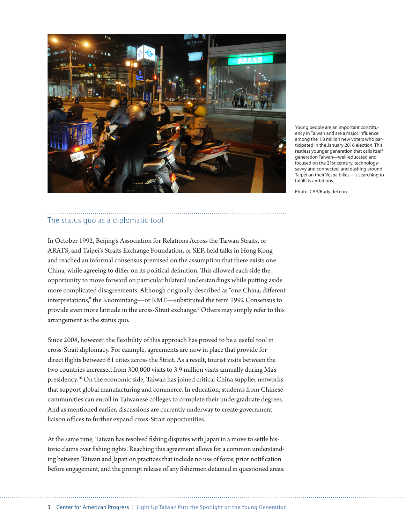

Young people are an important constituency in Taiwan and are a major influence among the 1.8 million new voters who participated in the January 2016 election. This restless younger generation that calls itself generation Taiwan—well-educated and focused on the 21st century, technologysavvy and connected, and dashing around Taipei on their Vespa bikes—is searching to fulfill its ambitions.

Photo: CAP/Rudy deLeon

### The status quo as a diplomatic tool

In October 1992, Beijing's Association for Relations Across the Taiwan Straits, or ARATS, and Taipei's Straits Exchange Foundation, or SEF, held talks in Hong Kong and reached an informal consensus premised on the assumption that there exists one China, while agreeing to differ on its political definition. This allowed each side the opportunity to move forward on particular bilateral understandings while putting aside more complicated disagreements. Although originally described as "one China, different interpretations," the Kuomintang—or KMT—substituted the term 1992 Consensus to provide even more latitude in the cross-Strait exchange.<sup>9</sup> Others may simply refer to this arrangement as the status quo.

Since 2008, however, the flexibility of this approach has proved to be a useful tool in cross-Strait diplomacy. For example, agreements are now in place that provide for direct flights between 61 cities across the Strait. As a result, tourist visits between the two countries increased from 300,000 visits to 3.9 million visits annually during Ma's presidency.10 On the economic side, Taiwan has joined critical China supplier networks that support global manufacturing and commerce. In education, students from Chinese communities can enroll in Taiwanese colleges to complete their undergraduate degrees. And as mentioned earlier, discussions are currently underway to create government liaison offices to further expand cross-Strait opportunities.

At the same time, Taiwan has resolved fishing disputes with Japan in a move to settle historic claims over fishing rights. Reaching this agreement allows for a common understanding between Taiwan and Japan on practices that include no use of force, prior notification before engagement, and the prompt release of any fishermen detained in questioned areas.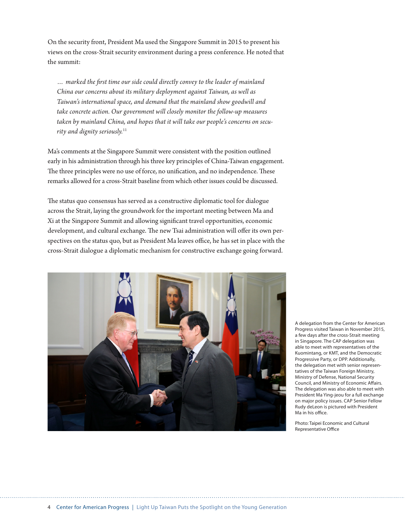On the security front, President Ma used the Singapore Summit in 2015 to present his views on the cross-Strait security environment during a press conference. He noted that the summit:

*… marked the first time our side could directly convey to the leader of mainland China our concerns about its military deployment against Taiwan, as well as Taiwan's international space, and demand that the mainland show goodwill and take concrete action. Our government will closely monitor the follow-up measures taken by mainland China, and hopes that it will take our people's concerns on security and dignity seriously.*<sup>11</sup>

Ma's comments at the Singapore Summit were consistent with the position outlined early in his administration through his three key principles of China-Taiwan engagement. The three principles were no use of force, no unification, and no independence. These remarks allowed for a cross-Strait baseline from which other issues could be discussed.

The status quo consensus has served as a constructive diplomatic tool for dialogue across the Strait, laying the groundwork for the important meeting between Ma and Xi at the Singapore Summit and allowing significant travel opportunities, economic development, and cultural exchange. The new Tsai administration will offer its own perspectives on the status quo, but as President Ma leaves office, he has set in place with the cross-Strait dialogue a diplomatic mechanism for constructive exchange going forward.



A delegation from the Center for American Progress visited Taiwan in November 2015, a few days after the cross-Strait meeting in Singapore. The CAP delegation was able to meet with representatives of the Kuomintang, or KMT, and the Democratic Progressive Party, or DPP. Additionally, the delegation met with senior representatives of the Taiwan Foreign Ministry, Ministry of Defense, National Security Council, and Ministry of Economic Affairs. The delegation was also able to meet with President Ma Ying-jeou for a full exchange on major policy issues. CAP Senior Fellow Rudy deLeon is pictured with President Ma in his office.

Photo: Taipei Economic and Cultural Representative Office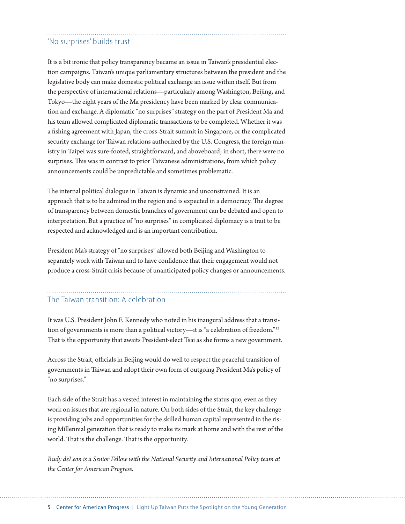## 'No surprises' builds trust

It is a bit ironic that policy transparency became an issue in Taiwan's presidential election campaigns. Taiwan's unique parliamentary structures between the president and the legislative body can make domestic political exchange an issue within itself. But from the perspective of international relations—particularly among Washington, Beijing, and Tokyo—the eight years of the Ma presidency have been marked by clear communication and exchange. A diplomatic "no surprises" strategy on the part of President Ma and his team allowed complicated diplomatic transactions to be completed. Whether it was a fishing agreement with Japan, the cross-Strait summit in Singapore, or the complicated security exchange for Taiwan relations authorized by the U.S. Congress, the foreign ministry in Taipei was sure-footed, straightforward, and aboveboard; in short, there were no surprises. This was in contrast to prior Taiwanese administrations, from which policy announcements could be unpredictable and sometimes problematic.

The internal political dialogue in Taiwan is dynamic and unconstrained. It is an approach that is to be admired in the region and is expected in a democracy. The degree of transparency between domestic branches of government can be debated and open to interpretation. But a practice of "no surprises" in complicated diplomacy is a trait to be respected and acknowledged and is an important contribution.

President Ma's strategy of "no surprises" allowed both Beijing and Washington to separately work with Taiwan and to have confidence that their engagement would not produce a cross-Strait crisis because of unanticipated policy changes or announcements.

## The Taiwan transition: A celebration

It was U.S. President John F. Kennedy who noted in his inaugural address that a transition of governments is more than a political victory—it is "a celebration of freedom."12 That is the opportunity that awaits President-elect Tsai as she forms a new government.

Across the Strait, officials in Beijing would do well to respect the peaceful transition of governments in Taiwan and adopt their own form of outgoing President Ma's policy of "no surprises."

Each side of the Strait has a vested interest in maintaining the status quo, even as they work on issues that are regional in nature. On both sides of the Strait, the key challenge is providing jobs and opportunities for the skilled human capital represented in the rising Millennial generation that is ready to make its mark at home and with the rest of the world. That is the challenge. That is the opportunity.

*Rudy deLeon is a Senior Fellow with the National Security and International Policy team at the Center for American Progress.*